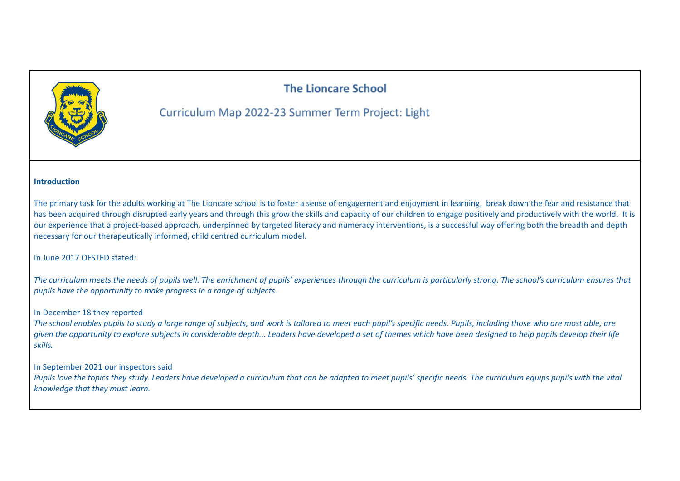# **The Lioncare School**



# Curriculum Map 2022-23 Summer Term Project: Light

#### **Introduction**

The primary task for the adults working at The Lioncare school is to foster a sense of engagement and enjoyment in learning, break down the fear and resistance that has been acquired through disrupted early years and through this grow the skills and capacity of our children to engage positively and productively with the world. It is our experience that a project-based approach, underpinned by targeted literacy and numeracy interventions, is a successful way offering both the breadth and depth necessary for our therapeutically informed, child centred curriculum model.

#### In June 2017 OFSTED stated:

The curriculum meets the needs of pupils well. The enrichment of pupils' experiences through the curriculum is particularly strong. The school's curriculum ensures that *pupils have the opportunity to make progress in a range of subjects.*

#### In December 18 they reported

The school enables pupils to study a large range of subjects, and work is tailored to meet each pupil's specific needs. Pupils, including those who are most able, are aiven the opportunity to explore subjects in considerable depth... Leaders have developed a set of themes which have been designed to help pupils develop their life *skills.*

#### In September 2021 our inspectors said

Pupils love the topics they study. Leaders have developed a curriculum that can be adapted to meet pupils' specific needs. The curriculum equips pupils with the vital *knowledge that they must learn.*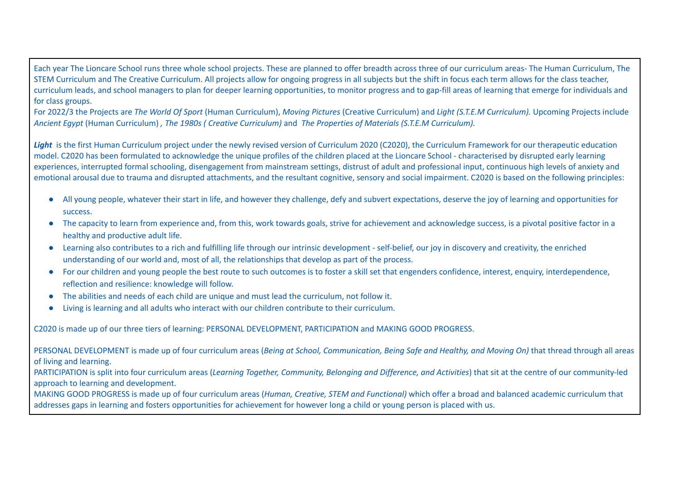Each year The Lioncare School runs three whole school projects. These are planned to offer breadth across three of our curriculum areas- The Human Curriculum, The STEM Curriculum and The Creative Curriculum. All projects allow for ongoing progress in all subjects but the shift in focus each term allows for the class teacher, curriculum leads, and school managers to plan for deeper learning opportunities, to monitor progress and to gap-fill areas of learning that emerge for individuals and for class groups.

For 2022/3 the Projects are The World Of Sport (Human Curriculum), Moving Pictures (Creative Curriculum) and Light (S.T.E.M Curriculum). Upcoming Projects include *Ancient Egypt* (Human Curriculum) *, The 1980s ( Creative Curriculum)* and *The Properties of Materials (S.T.E.M Curriculum).*

Light is the first Human Curriculum project under the newly revised version of Curriculum 2020 (C2020), the Curriculum Framework for our therapeutic education model. C2020 has been formulated to acknowledge the unique profiles of the children placed at the Lioncare School - characterised by disrupted early learning experiences, interrupted formal schooling, disengagement from mainstream settings, distrust of adult and professional input, continuous high levels of anxiety and emotional arousal due to trauma and disrupted attachments, and the resultant cognitive, sensory and social impairment. C2020 is based on the following principles:

- All young people, whatever their start in life, and however they challenge, defy and subvert expectations, deserve the joy of learning and opportunities for success.
- The capacity to learn from experience and, from this, work towards goals, strive for achievement and acknowledge success, is a pivotal positive factor in a healthy and productive adult life.
- Learning also contributes to a rich and fulfilling life through our intrinsic development self-belief, our joy in discovery and creativity, the enriched understanding of our world and, most of all, the relationships that develop as part of the process.
- For our children and young people the best route to such outcomes is to foster a skill set that engenders confidence, interest, enquiry, interdependence, reflection and resilience: knowledge will follow.
- The abilities and needs of each child are unique and must lead the curriculum, not follow it.
- Living is learning and all adults who interact with our children contribute to their curriculum.

C2020 is made up of our three tiers of learning: PERSONAL DEVELOPMENT, PARTICIPATION and MAKING GOOD PROGRESS.

PERSONAL DEVELOPMENT is made up of four curriculum areas (Being at School, Communication, Being Safe and Healthy, and Moving On) that thread through all areas of living and learning.

PARTICIPATION is split into four curriculum areas (*Learning Together, Community, Belonging and Difference, and Activities*) that sit at the centre of our community-led approach to learning and development.

MAKING GOOD PROGRESS is made up of four curriculum areas (*Human, Creative, STEM and Functional)* which offer a broad and balanced academic curriculum that addresses gaps in learning and fosters opportunities for achievement for however long a child or young person is placed with us.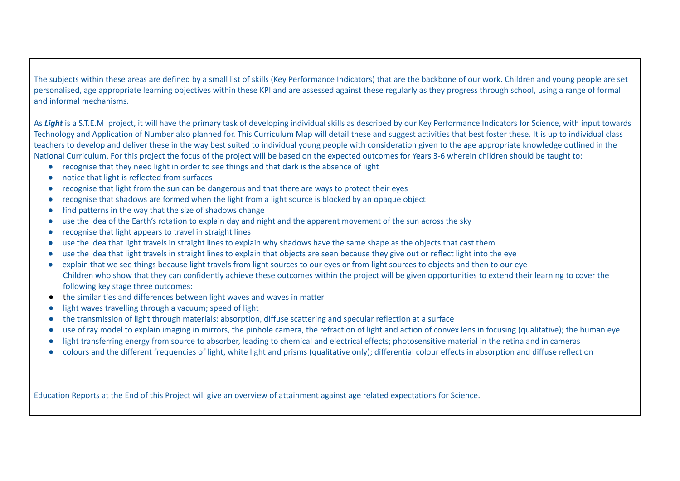The subjects within these areas are defined by a small list of skills (Key Performance Indicators) that are the backbone of our work. Children and young people are set personalised, age appropriate learning objectives within these KPI and are assessed against these regularly as they progress through school, using a range of formal and informal mechanisms.

As **Light** is a S.T.E.M project, it will have the primary task of developing individual skills as described by our Key Performance Indicators for Science, with input towards Technology and Application of Number also planned for. This Curriculum Map will detail these and suggest activities that best foster these. It is up to individual class teachers to develop and deliver these in the way best suited to individual young people with consideration given to the age appropriate knowledge outlined in the National Curriculum. For this project the focus of the project will be based on the expected outcomes for Years 3-6 wherein children should be taught to:

- recognise that they need light in order to see things and that dark is the absence of light
- notice that light is reflected from surfaces
- recognise that light from the sun can be dangerous and that there are ways to protect their eyes
- recognise that shadows are formed when the light from a light source is blocked by an opaque object
- find patterns in the way that the size of shadows change
- use the idea of the Earth's rotation to explain day and night and the apparent movement of the sun across the sky
- recognise that light appears to travel in straight lines
- use the idea that light travels in straight lines to explain why shadows have the same shape as the objects that cast them
- use the idea that light travels in straight lines to explain that objects are seen because they give out or reflect light into the eye
- explain that we see things because light travels from light sources to our eyes or from light sources to objects and then to our eye Children who show that they can confidently achieve these outcomes within the project will be given opportunities to extend their learning to cover the following key stage three outcomes:
- the similarities and differences between light waves and waves in matter
- light waves travelling through a vacuum; speed of light
- the transmission of light through materials: absorption, diffuse scattering and specular reflection at a surface
- use of ray model to explain imaging in mirrors, the pinhole camera, the refraction of light and action of convex lens in focusing (qualitative); the human eye
- light transferring energy from source to absorber, leading to chemical and electrical effects; photosensitive material in the retina and in cameras
- colours and the different frequencies of light, white light and prisms (qualitative only); differential colour effects in absorption and diffuse reflection

Education Reports at the End of this Project will give an overview of attainment against age related expectations for Science.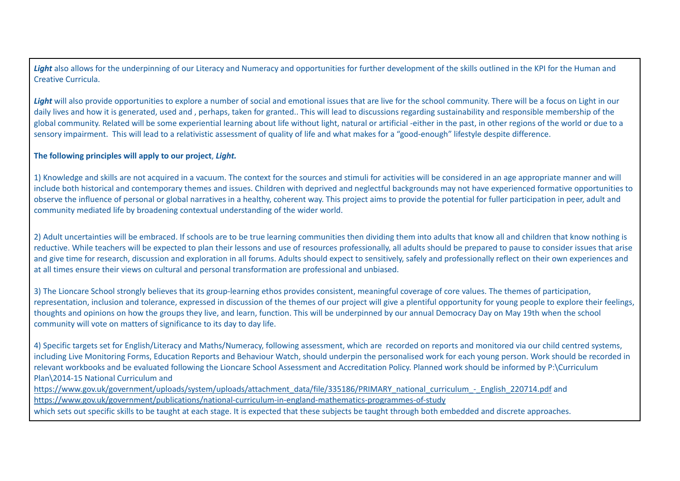*Light* also allows for the underpinning of our Literacy and Numeracy and opportunities for further development of the skills outlined in the KPI for the Human and Creative Curricula.

Light will also provide opportunities to explore a number of social and emotional issues that are live for the school community. There will be a focus on Light in our daily lives and how it is generated, used and , perhaps, taken for granted.. This will lead to discussions regarding sustainability and responsible membership of the global community. Related will be some experiential learning about life without light, natural or artificial -either in the past, in other regions of the world or due to a sensory impairment. This will lead to a relativistic assessment of quality of life and what makes for a "good-enough" lifestyle despite difference.

#### **The following principles will apply to our project**, *Light.*

1) Knowledge and skills are not acquired in a vacuum. The context for the sources and stimuli for activities will be considered in an age appropriate manner and will include both historical and contemporary themes and issues. Children with deprived and neglectful backgrounds may not have experienced formative opportunities to observe the influence of personal or global narratives in a healthy, coherent way. This project aims to provide the potential for fuller participation in peer, adult and community mediated life by broadening contextual understanding of the wider world.

2) Adult uncertainties will be embraced. If schools are to be true learning communities then dividing them into adults that know all and children that know nothing is reductive. While teachers will be expected to plan their lessons and use of resources professionally, all adults should be prepared to pause to consider issues that arise and give time for research, discussion and exploration in all forums. Adults should expect to sensitively, safely and professionally reflect on their own experiences and at all times ensure their views on cultural and personal transformation are professional and unbiased.

3) The Lioncare School strongly believes that its group-learning ethos provides consistent, meaningful coverage of core values. The themes of participation, representation, inclusion and tolerance, expressed in discussion of the themes of our project will give a plentiful opportunity for young people to explore their feelings, thoughts and opinions on how the groups they live, and learn, function. This will be underpinned by our annual Democracy Day on May 19th when the school community will vote on matters of significance to its day to day life.

4) Specific targets set for English/Literacy and Maths/Numeracy, following assessment, which are recorded on reports and monitored via our child centred systems, including Live Monitoring Forms, Education Reports and Behaviour Watch, should underpin the personalised work for each young person. Work should be recorded in relevant workbooks and be evaluated following the Lioncare School Assessment and Accreditation Policy. Planned work should be informed by P:\Curriculum Plan\2014-15 National Curriculum and

[https://www.gov.uk/government/uploads/system/uploads/attachment\\_data/file/335186/PRIMARY\\_national\\_curriculum\\_-\\_English\\_220714.pdf](https://www.gov.uk/government/uploads/system/uploads/attachment_data/file/335186/PRIMARY_national_curriculum_-_English_220714.pdf) and <https://www.gov.uk/government/publications/national-curriculum-in-england-mathematics-programmes-of-study>

which sets out specific skills to be taught at each stage. It is expected that these subjects be taught through both embedded and discrete approaches.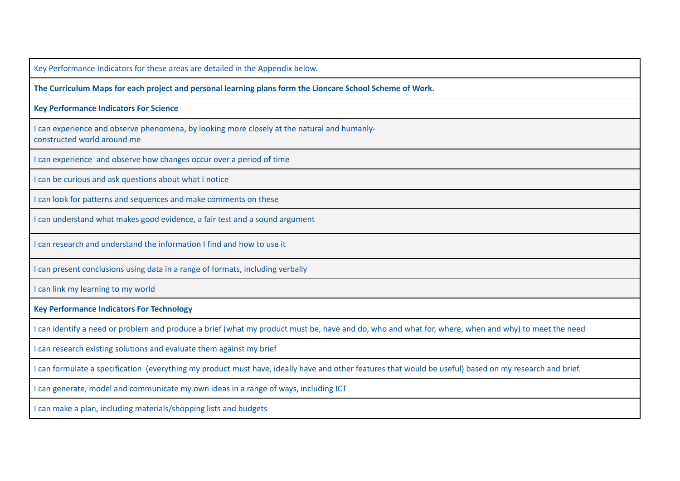Key Performance Indicators for these areas are detailed in the Appendix below. **The Curriculum Maps for each project and personal learning plans form the Lioncare School Scheme of Work. Key Performance Indicators For Science** I can experience and observe phenomena, by looking more closely at the natural and humanlyconstructed world around me I can experience and observe how changes occur over a period of time I can be curious and ask questions about what I notice I can look for patterns and sequences and make comments on these I can understand what makes good evidence, a fair test and a sound argument I can research and understand the information I find and how to use it I can present conclusions using data in a range of formats, including verbally I can link my learning to my world **Key Performance Indicators For Technology** I can identify a need or problem and produce a brief (what my product must be, have and do, who and what for, where, when and why) to meet the need I can research existing solutions and evaluate them against my brief I can formulate a specification (everything my product must have, ideally have and other features that would be useful) based on my research and brief. I can generate, model and communicate my own ideas in a range of ways, including ICT I can make a plan, including materials/shopping lists and budgets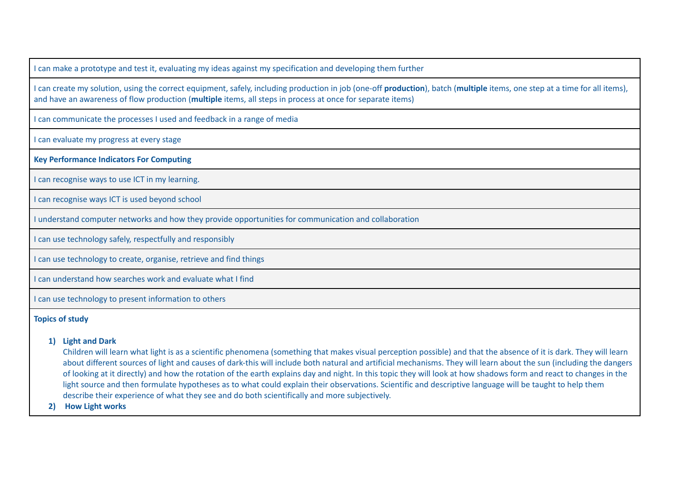I can make a prototype and test it, evaluating my ideas against my specification and developing them further

I can create my solution, using the correct equipment, safely, including production in job (one-off **production**), batch (**multiple** items, one step at a time for all items), and have an awareness of flow production (**multiple** items, all steps in process at once for separate items)

I can communicate the processes I used and feedback in a range of media

I can evaluate my progress at every stage

**Key Performance Indicators For Computing**

I can recognise ways to use ICT in my learning.

I can recognise ways ICT is used beyond school

I understand computer networks and how they provide opportunities for communication and collaboration

I can use technology safely, respectfully and responsibly

I can use technology to create, organise, retrieve and find things

I can understand how searches work and evaluate what I find

I can use technology to present information to others

#### **Topics of study**

# **1) Light and Dark**

Children will learn what light is as a scientific phenomena (something that makes visual perception possible) and that the absence of it is dark. They will learn about different sources of light and causes of dark-this will include both natural and artificial mechanisms. They will learn about the sun (including the dangers of looking at it directly) and how the rotation of the earth explains day and night. In this topic they will look at how shadows form and react to changes in the light source and then formulate hypotheses as to what could explain their observations. Scientific and descriptive language will be taught to help them describe their experience of what they see and do both scientifically and more subjectively.

**2) How Light works**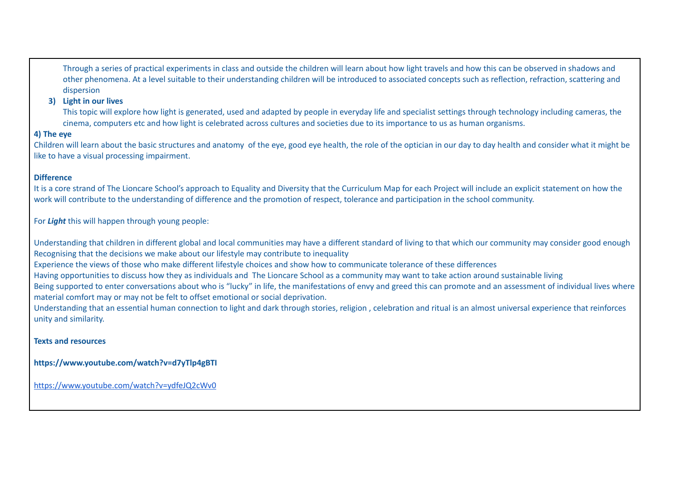Through a series of practical experiments in class and outside the children will learn about how light travels and how this can be observed in shadows and other phenomena. At a level suitable to their understanding children will be introduced to associated concepts such as reflection, refraction, scattering and dispersion

# **3) Light in our lives**

This topic will explore how light is generated, used and adapted by people in everyday life and specialist settings through technology including cameras, the cinema, computers etc and how light is celebrated across cultures and societies due to its importance to us as human organisms.

# **4) The eye**

Children will learn about the basic structures and anatomy of the eye, good eye health, the role of the optician in our day to day health and consider what it might be like to have a visual processing impairment.

# **Difference**

It is a core strand of The Lioncare School's approach to Equality and Diversity that the Curriculum Map for each Project will include an explicit statement on how the work will contribute to the understanding of difference and the promotion of respect, tolerance and participation in the school community.

For *Light* this will happen through young people:

Understanding that children in different global and local communities may have a different standard of living to that which our community may consider good enough Recognising that the decisions we make about our lifestyle may contribute to inequality

Experience the views of those who make different lifestyle choices and show how to communicate tolerance of these differences

Having opportunities to discuss how they as individuals and The Lioncare School as a community may want to take action around sustainable living

Being supported to enter conversations about who is "lucky" in life, the manifestations of envy and greed this can promote and an assessment of individual lives where material comfort may or may not be felt to offset emotional or social deprivation.

Understanding that an essential human connection to light and dark through stories, religion , celebration and ritual is an almost universal experience that reinforces unity and similarity.

# **Texts and resources**

**https://www.youtube.com/watch?v=d7yTlp4gBTI**

<https://www.youtube.com/watch?v=ydfeJQ2cWv0>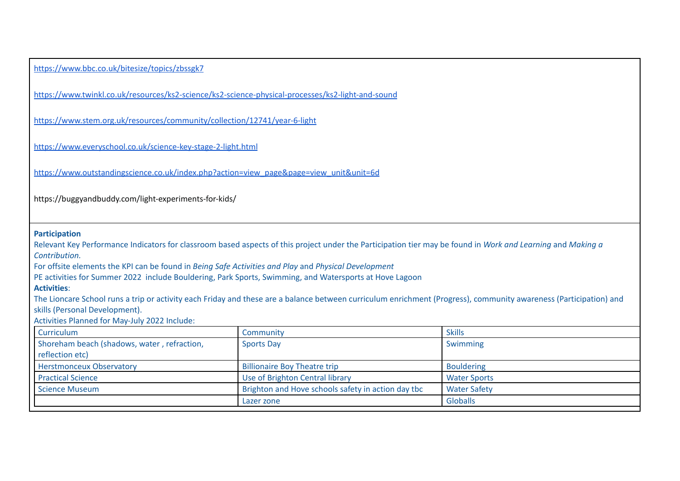| https://www.bbc.co.uk/bitesize/topics/zbssgk7                                                                                                                                                                                                                                                |                                                    |                     |  |  |                                                                                                                                                                                                                                                        |                                                                                                                                                                                                                                                                                                                                                                                                                                             |               |
|----------------------------------------------------------------------------------------------------------------------------------------------------------------------------------------------------------------------------------------------------------------------------------------------|----------------------------------------------------|---------------------|--|--|--------------------------------------------------------------------------------------------------------------------------------------------------------------------------------------------------------------------------------------------------------|---------------------------------------------------------------------------------------------------------------------------------------------------------------------------------------------------------------------------------------------------------------------------------------------------------------------------------------------------------------------------------------------------------------------------------------------|---------------|
| https://www.twinkl.co.uk/resources/ks2-science/ks2-science-physical-processes/ks2-light-and-sound                                                                                                                                                                                            |                                                    |                     |  |  |                                                                                                                                                                                                                                                        |                                                                                                                                                                                                                                                                                                                                                                                                                                             |               |
| https://www.stem.org.uk/resources/community/collection/12741/year-6-light<br>https://www.everyschool.co.uk/science-key-stage-2-light.html<br>https://www.outstandingscience.co.uk/index.php?action=view_page&page=view_unit&unit=6d<br>https://buggyandbuddy.com/light-experiments-for-kids/ |                                                    |                     |  |  |                                                                                                                                                                                                                                                        |                                                                                                                                                                                                                                                                                                                                                                                                                                             |               |
|                                                                                                                                                                                                                                                                                              |                                                    |                     |  |  | <b>Participation</b><br>Contribution.<br>For offsite elements the KPI can be found in Being Safe Activities and Play and Physical Development<br><b>Activities:</b><br>skills (Personal Development).<br>Activities Planned for May-July 2022 Include: | Relevant Key Performance Indicators for classroom based aspects of this project under the Participation tier may be found in Work and Learning and Making a<br>PE activities for Summer 2022 include Bouldering, Park Sports, Swimming, and Watersports at Hove Lagoon<br>The Lioncare School runs a trip or activity each Friday and these are a balance between curriculum enrichment (Progress), community awareness (Participation) and |               |
|                                                                                                                                                                                                                                                                                              |                                                    |                     |  |  |                                                                                                                                                                                                                                                        |                                                                                                                                                                                                                                                                                                                                                                                                                                             |               |
|                                                                                                                                                                                                                                                                                              |                                                    |                     |  |  | Curriculum                                                                                                                                                                                                                                             | Community                                                                                                                                                                                                                                                                                                                                                                                                                                   | <b>Skills</b> |
| Shoreham beach (shadows, water, refraction,<br>reflection etc)                                                                                                                                                                                                                               | <b>Sports Day</b>                                  | Swimming            |  |  |                                                                                                                                                                                                                                                        |                                                                                                                                                                                                                                                                                                                                                                                                                                             |               |
| <b>Herstmonceux Observatory</b>                                                                                                                                                                                                                                                              | <b>Billionaire Boy Theatre trip</b>                | <b>Bouldering</b>   |  |  |                                                                                                                                                                                                                                                        |                                                                                                                                                                                                                                                                                                                                                                                                                                             |               |
| <b>Practical Science</b>                                                                                                                                                                                                                                                                     | Use of Brighton Central library                    | <b>Water Sports</b> |  |  |                                                                                                                                                                                                                                                        |                                                                                                                                                                                                                                                                                                                                                                                                                                             |               |
| <b>Science Museum</b>                                                                                                                                                                                                                                                                        | Brighton and Hove schools safety in action day tbc | <b>Water Safety</b> |  |  |                                                                                                                                                                                                                                                        |                                                                                                                                                                                                                                                                                                                                                                                                                                             |               |